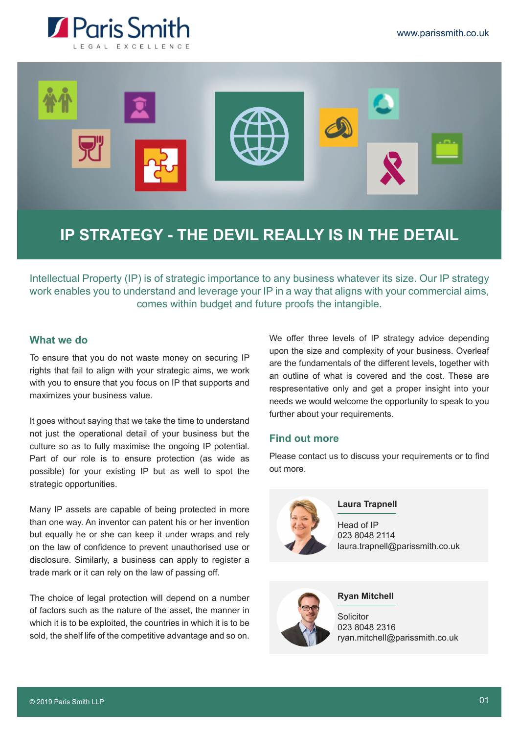



# **IP STRATEGY - THE DEVIL REALLY IS IN THE DETAIL**

Intellectual Property (IP) is of strategic importance to any business whatever its size. Our IP strategy work enables you to understand and leverage your IP in a way that aligns with your commercial aims, comes within budget and future proofs the intangible.

## **What we do**

To ensure that you do not waste money on securing IP rights that fail to align with your strategic aims, we work with you to ensure that you focus on IP that supports and maximizes your business value.

It goes without saying that we take the time to understand not just the operational detail of your business but the culture so as to fully maximise the ongoing IP potential. Part of our role is to ensure protection (as wide as possible) for your existing IP but as well to spot the strategic opportunities.

Many IP assets are capable of being protected in more than one way. An inventor can patent his or her invention but equally he or she can keep it under wraps and rely on the law of confidence to prevent unauthorised use or disclosure. Similarly, a business can apply to register a trade mark or it can rely on the law of passing off.

The choice of legal protection will depend on a number of factors such as the nature of the asset, the manner in which it is to be exploited, the countries in which it is to be sold, the shelf life of the competitive advantage and so on. We offer three levels of IP strategy advice depending upon the size and complexity of your business. Overleaf are the fundamentals of the different levels, together with an outline of what is covered and the cost. These are respresentative only and get a proper insight into your needs we would welcome the opportunity to speak to you further about your requirements.

## **Find out more**

Please contact us to discuss your requirements or to find out more.



### **Laura Trapnell**

Head of IP 023 8048 2114 laura.trapnell@parissmith.co.uk



#### **Ryan Mitchell**

Solicitor 023 8048 2316 ryan.mitchell@parissmith.co.uk